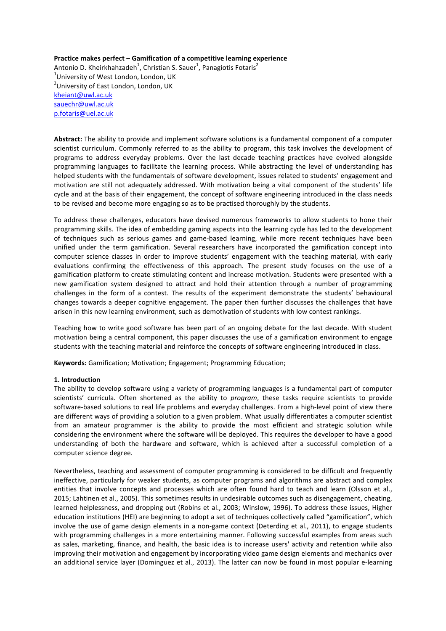# **Practice makes perfect – Gamification of a competitive learning experience**

Antonio D. Kheirkhahzadeh $^1$ , Christian S. Sauer $^1$ , Panagiotis Fotaris $^2$  $^{\rm 1}$ University of West London, London, UK  $^{2}$ University of East London, London, UK kheiant@uwl.ac.uk sauechr@uwl.ac.uk p.fotaris@uel.ac.uk

Abstract: The ability to provide and implement software solutions is a fundamental component of a computer scientist curriculum. Commonly referred to as the ability to program, this task involves the development of programs to address everyday problems. Over the last decade teaching practices have evolved alongside programming languages to facilitate the learning process. While abstracting the level of understanding has helped students with the fundamentals of software development, issues related to students' engagement and motivation are still not adequately addressed. With motivation being a vital component of the students' life cycle and at the basis of their engagement, the concept of software engineering introduced in the class needs to be revised and become more engaging so as to be practised thoroughly by the students.

To address these challenges, educators have devised numerous frameworks to allow students to hone their programming skills. The idea of embedding gaming aspects into the learning cycle has led to the development of techniques such as serious games and game-based learning, while more recent techniques have been unified under the term gamification. Several researchers have incorporated the gamification concept into computer science classes in order to improve students' engagement with the teaching material, with early evaluations confirming the effectiveness of this approach. The present study focuses on the use of a gamification platform to create stimulating content and increase motivation. Students were presented with a new gamification system designed to attract and hold their attention through a number of programming challenges in the form of a contest. The results of the experiment demonstrate the students' behavioural changes towards a deeper cognitive engagement. The paper then further discusses the challenges that have arisen in this new learning environment, such as demotivation of students with low contest rankings.

Teaching how to write good software has been part of an ongoing debate for the last decade. With student motivation being a central component, this paper discusses the use of a gamification environment to engage students with the teaching material and reinforce the concepts of software engineering introduced in class.

**Keywords:** Gamification; Motivation; Engagement; Programming Education;

# **1. Introduction**

The ability to develop software using a variety of programming languages is a fundamental part of computer scientists' curricula. Often shortened as the ability to *program*, these tasks require scientists to provide software-based solutions to real life problems and everyday challenges. From a high-level point of view there are different ways of providing a solution to a given problem. What usually differentiates a computer scientist from an amateur programmer is the ability to provide the most efficient and strategic solution while considering the environment where the software will be deployed. This requires the developer to have a good understanding of both the hardware and software, which is achieved after a successful completion of a computer science degree.

Nevertheless, teaching and assessment of computer programming is considered to be difficult and frequently ineffective, particularly for weaker students, as computer programs and algorithms are abstract and complex entities that involve concepts and processes which are often found hard to teach and learn (Olsson et al., 2015; Lahtinen et al., 2005). This sometimes results in undesirable outcomes such as disengagement, cheating, learned helplessness, and dropping out (Robins et al., 2003; Winslow, 1996). To address these issues, Higher education institutions (HEI) are beginning to adopt a set of techniques collectively called "gamification", which involve the use of game design elements in a non-game context (Deterding et al., 2011), to engage students with programming challenges in a more entertaining manner. Following successful examples from areas such as sales, marketing, finance, and health, the basic idea is to increase users' activity and retention while also improving their motivation and engagement by incorporating video game design elements and mechanics over an additional service layer (Dominguez et al., 2013). The latter can now be found in most popular e-learning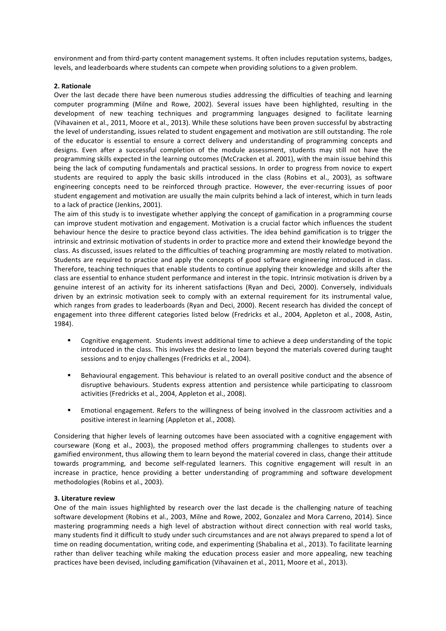environment and from third-party content management systems. It often includes reputation systems, badges, levels, and leaderboards where students can compete when providing solutions to a given problem.

# **2. Rationale**

Over the last decade there have been numerous studies addressing the difficulties of teaching and learning computer programming (Milne and Rowe, 2002). Several issues have been highlighted, resulting in the development of new teaching techniques and programming languages designed to facilitate learning (Vihavainen et al., 2011, Moore et al., 2013). While these solutions have been proven successful by abstracting the level of understanding, issues related to student engagement and motivation are still outstanding. The role of the educator is essential to ensure a correct delivery and understanding of programming concepts and designs. Even after a successful completion of the module assessment, students may still not have the programming skills expected in the learning outcomes (McCracken et al. 2001), with the main issue behind this being the lack of computing fundamentals and practical sessions. In order to progress from novice to expert students are required to apply the basic skills introduced in the class (Robins et al., 2003), as software engineering concepts need to be reinforced through practice. However, the ever-recurring issues of poor student engagement and motivation are usually the main culprits behind a lack of interest, which in turn leads to a lack of practice (Jenkins, 2001).

The aim of this study is to investigate whether applying the concept of gamification in a programming course can improve student motivation and engagement. Motivation is a crucial factor which influences the student behaviour hence the desire to practice beyond class activities. The idea behind gamification is to trigger the intrinsic and extrinsic motivation of students in order to practice more and extend their knowledge beyond the class. As discussed, issues related to the difficulties of teaching programming are mostly related to motivation. Students are required to practice and apply the concepts of good software engineering introduced in class. Therefore, teaching techniques that enable students to continue applying their knowledge and skills after the class are essential to enhance student performance and interest in the topic. Intrinsic motivation is driven by a genuine interest of an activity for its inherent satisfactions (Ryan and Deci, 2000). Conversely, individuals driven by an extrinsic motivation seek to comply with an external requirement for its instrumental value, which ranges from grades to leaderboards (Ryan and Deci, 2000). Recent research has divided the concept of engagement into three different categories listed below (Fredricks et al., 2004, Appleton et al., 2008, Astin, 1984). 

- Cognitive engagement. Students invest additional time to achieve a deep understanding of the topic introduced in the class. This involves the desire to learn beyond the materials covered during taught sessions and to enjoy challenges (Fredricks et al., 2004).
- Behavioural engagement. This behaviour is related to an overall positive conduct and the absence of disruptive behaviours. Students express attention and persistence while participating to classroom activities (Fredricks et al., 2004, Appleton et al., 2008).
- Emotional engagement. Refers to the willingness of being involved in the classroom activities and a positive interest in learning (Appleton et al., 2008).

Considering that higher levels of learning outcomes have been associated with a cognitive engagement with courseware (Kong et al., 2003), the proposed method offers programming challenges to students over a gamified environment, thus allowing them to learn beyond the material covered in class, change their attitude towards programming, and become self-regulated learners. This cognitive engagement will result in an increase in practice, hence providing a better understanding of programming and software development methodologies (Robins et al., 2003).

# **3. Literature review**

One of the main issues highlighted by research over the last decade is the challenging nature of teaching software development (Robins et al., 2003, Milne and Rowe, 2002, Gonzalez and Mora Carreno, 2014). Since mastering programming needs a high level of abstraction without direct connection with real world tasks, many students find it difficult to study under such circumstances and are not always prepared to spend a lot of time on reading documentation, writing code, and experimenting (Shabalina et al., 2013). To facilitate learning rather than deliver teaching while making the education process easier and more appealing, new teaching practices have been devised, including gamification (Vihavainen et al., 2011, Moore et al., 2013).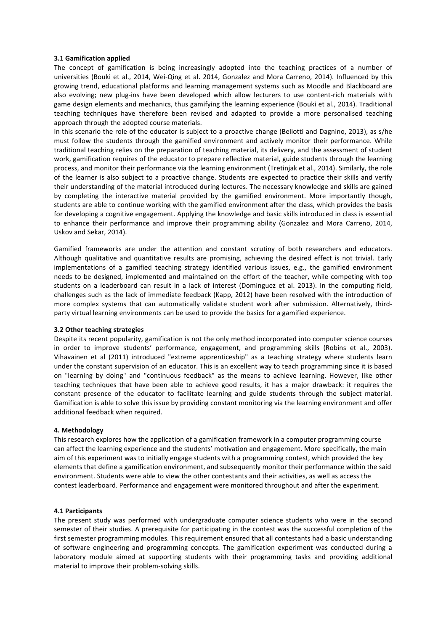# **3.1 Gamification applied**

The concept of gamification is being increasingly adopted into the teaching practices of a number of universities (Bouki et al., 2014, Wei-Qing et al. 2014, Gonzalez and Mora Carreno, 2014). Influenced by this growing trend, educational platforms and learning management systems such as Moodle and Blackboard are also evolving; new plug-ins have been developed which allow lecturers to use content-rich materials with game design elements and mechanics, thus gamifying the learning experience (Bouki et al., 2014). Traditional teaching techniques have therefore been revised and adapted to provide a more personalised teaching approach through the adopted course materials.

In this scenario the role of the educator is subject to a proactive change (Bellotti and Dagnino, 2013), as s/he must follow the students through the gamified environment and actively monitor their performance. While traditional teaching relies on the preparation of teaching material, its delivery, and the assessment of student work, gamification requires of the educator to prepare reflective material, guide students through the learning process, and monitor their performance via the learning environment (Tretinjak et al., 2014). Similarly, the role of the learner is also subject to a proactive change. Students are expected to practice their skills and verify their understanding of the material introduced during lectures. The necessary knowledge and skills are gained by completing the interactive material provided by the gamified environment. More importantly though, students are able to continue working with the gamified environment after the class, which provides the basis for developing a cognitive engagement. Applying the knowledge and basic skills introduced in class is essential to enhance their performance and improve their programming ability (Gonzalez and Mora Carreno, 2014, Uskov and Sekar, 2014).

Gamified frameworks are under the attention and constant scrutiny of both researchers and educators. Although qualitative and quantitative results are promising, achieving the desired effect is not trivial. Early implementations of a gamified teaching strategy identified various issues, e.g., the gamified environment needs to be designed, implemented and maintained on the effort of the teacher, while competing with top students on a leaderboard can result in a lack of interest (Dominguez et al. 2013). In the computing field, challenges such as the lack of immediate feedback (Kapp, 2012) have been resolved with the introduction of more complex systems that can automatically validate student work after submission. Alternatively, thirdparty virtual learning environments can be used to provide the basics for a gamified experience.

# **3.2 Other teaching strategies**

Despite its recent popularity, gamification is not the only method incorporated into computer science courses in order to improve students' performance, engagement, and programming skills (Robins et al., 2003). Vihavainen et al (2011) introduced "extreme apprenticeship" as a teaching strategy where students learn under the constant supervision of an educator. This is an excellent way to teach programming since it is based on "learning by doing" and "continuous feedback" as the means to achieve learning. However, like other teaching techniques that have been able to achieve good results, it has a major drawback: it requires the constant presence of the educator to facilitate learning and guide students through the subject material. Gamification is able to solve this issue by providing constant monitoring via the learning environment and offer additional feedback when required.

### **4. Methodology**

This research explores how the application of a gamification framework in a computer programming course can affect the learning experience and the students' motivation and engagement. More specifically, the main aim of this experiment was to initially engage students with a programming contest, which provided the key elements that define a gamification environment, and subsequently monitor their performance within the said environment. Students were able to view the other contestants and their activities, as well as access the contest leaderboard. Performance and engagement were monitored throughout and after the experiment.

### **4.1 Participants**

The present study was performed with undergraduate computer science students who were in the second semester of their studies. A prerequisite for participating in the contest was the successful completion of the first semester programming modules. This requirement ensured that all contestants had a basic understanding of software engineering and programming concepts. The gamification experiment was conducted during a laboratory module aimed at supporting students with their programming tasks and providing additional material to improve their problem-solving skills.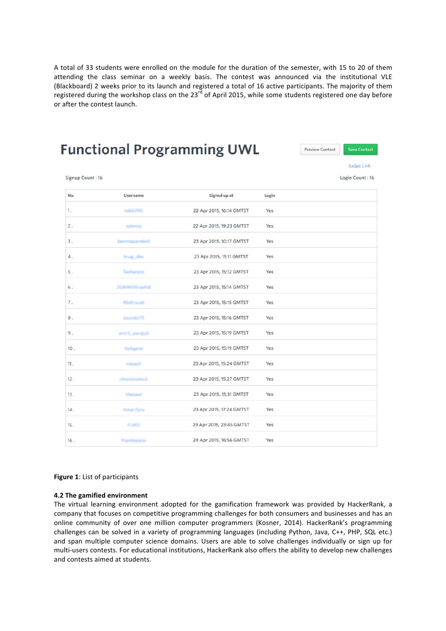A total of 33 students were enrolled on the module for the duration of the semester, with 15 to 20 of them attending the class seminar on a weekly basis. The contest was announced via the institutional VLE (Blackboard) 2 weeks prior to its launch and registered a total of 16 active participants. The majority of them registered during the workshop class on the  $23^{rd}$  of April 2015, while some students registered one day before or after the contest launch.

# **Functional Programming UWL**



**Judge Link** 

Login Count: 16

Signup Count: 16

| No. | <b>Username</b>       | Signed up at             | Login |  |
|-----|-----------------------|--------------------------|-------|--|
| 1.  | robit/WL              | 22 Apr 2015, 16:14 GMTST | Yes   |  |
| 2.  | sykessi               | 22 Apr 2015, 19:23 GMTST | Yes   |  |
| 3.  | mapamboli             | 23 Apr 2015, 10:17 GMTST | Yes   |  |
| 4.  | krug_dev              | 23 Apr 2015, 15:11 GMTST | Yes   |  |
| 5.  | Tashanjnc             | 23 Apr 2015, 15:12 GMTST | Yes   |  |
| 6.  | 21269650rashid        | 23 Apr 2015, 15:14 GMTST | Yes   |  |
| 7.  | Abdirazak             | 23 Apr 2015, 15:15 GMTST | Yes   |  |
| 8.  | soundz73              | 23 Apr 2015, 15:16 GMTST | Yes   |  |
| 9.  | amrit_parajuli        | 23 Apr 2015, 15:19 GMTST | Yes   |  |
| 10. | Xeitgelst             | 23 Apr 2015, 15:19 GMTST | Yes   |  |
| 11. | mhach                 | 23 Apr 2015, 15:24 GMTST | Yes   |  |
| 12. | <i><b>únotech</b></i> | 23 Apr 2015, 15:27 GMTST | Yes   |  |
| 13. | kheiant               | 23 Apr 2015, 15:31 GMTST | Yes   |  |
| 14. | AmarZero              | 23 Apr 2015, 17:24 GMTST | Yes   |  |
| 15. | <b>FLNT3</b>          | 23 Apr 2015, 23:45 GMTST | Yes   |  |
| 16. | frankbeans            | 24 Apr 2015, 16:56 GMTST | Yes   |  |
|     |                       |                          |       |  |

# **Figure 1:** List of participants

# **4.2 The gamified environment**

The virtual learning environment adopted for the gamification framework was provided by HackerRank, a company that focuses on competitive programming challenges for both consumers and businesses and has an online community of over one million computer programmers (Kosner, 2014). HackerRank's programming challenges can be solved in a variety of programming languages (including Python, Java, C++, PHP, SQL etc.) and span multiple computer science domains. Users are able to solve challenges individually or sign up for multi-users contests. For educational institutions, HackerRank also offers the ability to develop new challenges and contests aimed at students.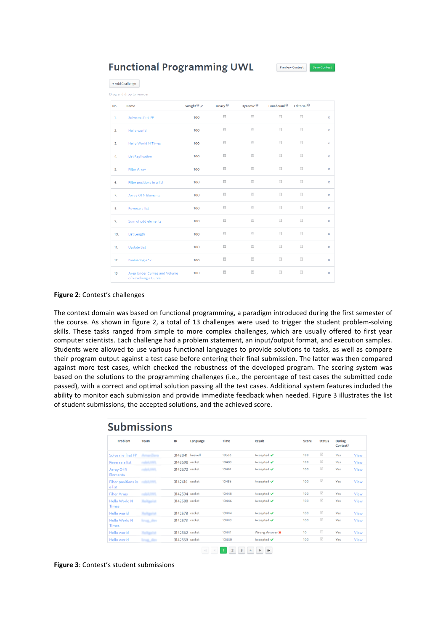**Functional Programming UWL** 

Preview Contest

| + Add Challenge<br>Drag and drop to reorder |                                                      |                |                           |                                  |                        |                        |              |
|---------------------------------------------|------------------------------------------------------|----------------|---------------------------|----------------------------------|------------------------|------------------------|--------------|
| No.                                         | Name                                                 | Weight $\odot$ | Binary <sup>®</sup>       | Dynamic <sup>O</sup>             | Timebound <sup>®</sup> | Editorial <sup>®</sup> |              |
| 1.                                          | Solve me first FP                                    | 100            | $\Box$                    | $\Box$                           | $\Box$                 | $\Box$                 | $\mathsf{x}$ |
| 2.                                          | Hello world                                          | 100            | $\Box$                    | $\Box$                           | $\Box$                 | $\Box$                 | x            |
| 3.                                          | <b>Hello World N Times</b>                           | 100            | $\Box$                    | $\blacksquare$                   | n                      | $\Box$                 | ×            |
| 4.                                          | <b>List Replication</b>                              | 100            | $\Box$                    | $\Box$                           | $\Box$                 | $\Box$                 | ×            |
| 5.                                          | <b>Filter Array</b>                                  | 100            | $\blacksquare$            | n                                | $\Box$                 | □                      | ×            |
| 6.                                          | Filter positions in a list                           | 100            | $\Box$                    | $\overline{\phantom{a}}$         | $\Box$                 | $\Box$                 | x            |
| 7.                                          | Array Of N Elements                                  | 100            | $\overline{\mathbb{R}}$   | $\left\vert \cdot \right\rangle$ | $\Box$                 | $\Box$                 | x            |
| 8.                                          | Reverse a list                                       | 100            | $\Box$                    | $\blacksquare$                   | $\Box$                 | $\Box$                 | x            |
| 9.                                          | Sum of odd elements                                  | 100            | $\Box$                    | $\Box$                           | $\Box$                 | $\Box$                 | ×            |
| 10.                                         | <b>List Length</b>                                   | 100            | $\overline{\phantom{a}}$  | $\overline{\phantom{a}}$         | $\Box$                 | $\Box$                 | ×            |
| 11.                                         | <b>Update List</b>                                   | 100            | $\overline{\mathbb{R}^n}$ | $\overline{\mathbb{R}}$          | $\Box$                 | $\Box$                 | x            |
| 12.                                         | Evaluating e^x                                       | 100            | $\blacksquare$            | $\blacksquare$                   | $\Box$                 | $\Box$                 | ×            |
| 13.                                         | Area Under Curves and Volume<br>of Revolving a Curve | 100            | $\Box$                    | $\Box$                           | o                      | $\Box$                 | ×            |

# **Figure 2: Contest's challenges**

The contest domain was based on functional programming, a paradigm introduced during the first semester of the course. As shown in figure 2, a total of 13 challenges were used to trigger the student problem-solving skills. These tasks ranged from simple to more complex challenges, which are usually offered to first year computer scientists. Each challenge had a problem statement, an input/output format, and execution samples. Students were allowed to use various functional languages to provide solutions to tasks, as well as compare their program output against a test case before entering their final submission. The latter was then compared against more test cases, which checked the robustness of the developed program. The scoring system was based on the solutions to the programming challenges (i.e., the percentage of test cases the submitted code passed), with a correct and optimal solution passing all the test cases. Additional system features included the ability to monitor each submission and provide immediate feedback when needed. Figure 3 illustrates the list of student submissions, the accepted solutions, and the achieved score.

| Problem                              | Team               | ID              | Language | Time  | Result                        | Score | <b>Status</b>                  | During<br>Contest? |      |
|--------------------------------------|--------------------|-----------------|----------|-------|-------------------------------|-------|--------------------------------|--------------------|------|
| Solve me first FP                    | Amar Zero.         | 3142841 haskell |          | 10536 | Accepted ↓                    | 100   | $\vec{v}$                      | Yes                | View |
| Reverse a list                       | rabil MR           | 3142698 racket  |          | 10483 | Accepted ✔                    | 100   | $\overline{\omega}$            | Yes                | View |
| Array Of N<br>Elements               | robit/WL           | 3142672 racket  |          | 10474 | Accepted $\blacktriangledown$ | 100   | $\overrightarrow{\mathcal{G}}$ | Yes                | View |
| <b>Filter positions in</b><br>a list | robit.NR           | 3142616 racket  |          | 10456 | Accepted ↓                    | 100   | $\overrightarrow{\mathcal{S}}$ | Yes                | View |
| <b>Filter Array</b>                  | м                  | 3142594 racket  |          | 10448 | Accepted $\blacktriangledown$ | 100   | $\omega$                       | Yes                | View |
| <b>Hello World N</b><br><b>Times</b> | Xeitgelst          | 3142588 racket  |          | 10446 | Accepted $\blacktriangledown$ | 100   | $\sqrt{2}$                     | Yes                | View |
| Hello world                          | Kaitgalst          | 3142578 racket  |          | 10444 | Accepted $\blacktriangledown$ | 100   | $\sqrt{2}$                     | Yes                | View |
| <b>Hello World N</b><br><b>Times</b> | <b>Strait, day</b> | 3142573 racket  |          | 10443 | Accepted $\blacktriangledown$ | 100   | $\sqrt{2}$                     | Yes                | View |
| Hello world                          | Xeitgelst          | 3142562 racket  |          | 10441 | Wrong Answer X                | 10    | $\qquad \qquad \Box$           | Yes                | View |
| Hello world                          | <b>Strugglides</b> | 3142559 racket  |          | 10440 | Accepted $\blacktriangledown$ | 100   | $[ \overline{\mathcal{G}} ]$   | Yes                | View |

# Submissions

Figure 3: Contest's student submissions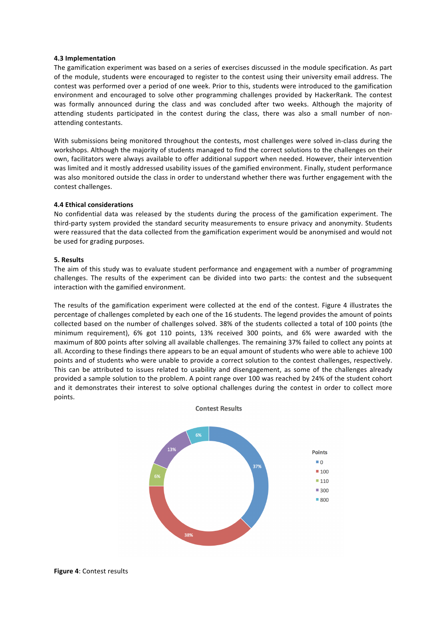# **4.3 Implementation**

The gamification experiment was based on a series of exercises discussed in the module specification. As part of the module, students were encouraged to register to the contest using their university email address. The contest was performed over a period of one week. Prior to this, students were introduced to the gamification environment and encouraged to solve other programming challenges provided by HackerRank. The contest was formally announced during the class and was concluded after two weeks. Although the majority of attending students participated in the contest during the class, there was also a small number of nonattending contestants.

With submissions being monitored throughout the contests, most challenges were solved in-class during the workshops. Although the majority of students managed to find the correct solutions to the challenges on their own, facilitators were always available to offer additional support when needed. However, their intervention was limited and it mostly addressed usability issues of the gamified environment. Finally, student performance was also monitored outside the class in order to understand whether there was further engagement with the contest challenges.

### **4.4 Ethical considerations**

No confidential data was released by the students during the process of the gamification experiment. The third-party system provided the standard security measurements to ensure privacy and anonymity. Students were reassured that the data collected from the gamification experiment would be anonymised and would not be used for grading purposes.

### **5. Results**

The aim of this study was to evaluate student performance and engagement with a number of programming challenges. The results of the experiment can be divided into two parts: the contest and the subsequent interaction with the gamified environment.

The results of the gamification experiment were collected at the end of the contest. Figure 4 illustrates the percentage of challenges completed by each one of the 16 students. The legend provides the amount of points collected based on the number of challenges solved. 38% of the students collected a total of 100 points (the minimum requirement), 6% got 110 points, 13% received 300 points, and 6% were awarded with the maximum of 800 points after solving all available challenges. The remaining 37% failed to collect any points at all. According to these findings there appears to be an equal amount of students who were able to achieve 100 points and of students who were unable to provide a correct solution to the contest challenges, respectively. This can be attributed to issues related to usability and disengagement, as some of the challenges already provided a sample solution to the problem. A point range over 100 was reached by 24% of the student cohort and it demonstrates their interest to solve optional challenges during the contest in order to collect more points. 

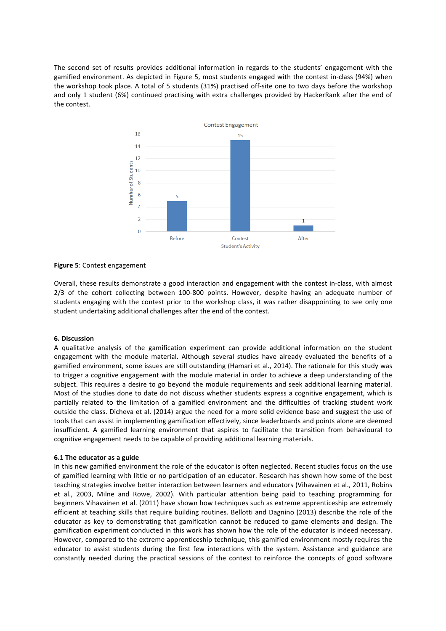The second set of results provides additional information in regards to the students' engagement with the gamified environment. As depicted in Figure 5, most students engaged with the contest in-class (94%) when the workshop took place. A total of 5 students (31%) practised off-site one to two days before the workshop and only 1 student (6%) continued practising with extra challenges provided by HackerRank after the end of the contest



**Figure 5: Contest engagement** 

Overall, these results demonstrate a good interaction and engagement with the contest in-class, with almost  $2/3$  of the cohort collecting between  $100-800$  points. However, despite having an adequate number of students engaging with the contest prior to the workshop class, it was rather disappointing to see only one student undertaking additional challenges after the end of the contest.

# **6. Discussion**

A qualitative analysis of the gamification experiment can provide additional information on the student engagement with the module material. Although several studies have already evaluated the benefits of a gamified environment, some issues are still outstanding (Hamari et al., 2014). The rationale for this study was to trigger a cognitive engagement with the module material in order to achieve a deep understanding of the subject. This requires a desire to go beyond the module requirements and seek additional learning material. Most of the studies done to date do not discuss whether students express a cognitive engagement, which is partially related to the limitation of a gamified environment and the difficulties of tracking student work outside the class. Dicheva et al. (2014) argue the need for a more solid evidence base and suggest the use of tools that can assist in implementing gamification effectively, since leaderboards and points alone are deemed insufficient. A gamified learning environment that aspires to facilitate the transition from behavioural to cognitive engagement needs to be capable of providing additional learning materials.

# **6.1** The educator as a guide

In this new gamified environment the role of the educator is often neglected. Recent studies focus on the use of gamified learning with little or no participation of an educator. Research has shown how some of the best teaching strategies involve better interaction between learners and educators (Vihavainen et al., 2011, Robins et al., 2003, Milne and Rowe, 2002). With particular attention being paid to teaching programming for beginners Vihavainen et al. (2011) have shown how techniques such as extreme apprenticeship are extremely efficient at teaching skills that require building routines. Bellotti and Dagnino (2013) describe the role of the educator as key to demonstrating that gamification cannot be reduced to game elements and design. The gamification experiment conducted in this work has shown how the role of the educator is indeed necessary. However, compared to the extreme apprenticeship technique, this gamified environment mostly requires the educator to assist students during the first few interactions with the system. Assistance and guidance are constantly needed during the practical sessions of the contest to reinforce the concepts of good software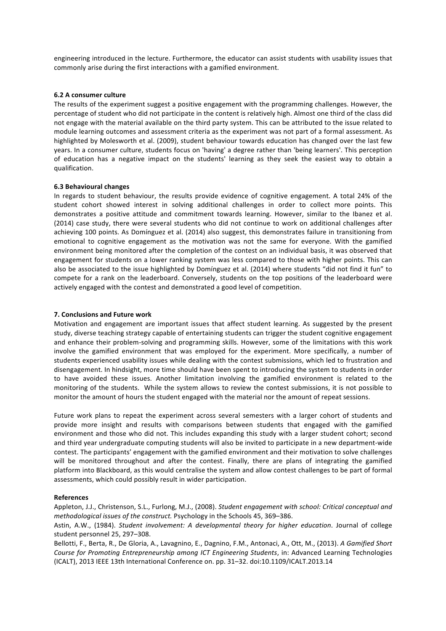engineering introduced in the lecture. Furthermore, the educator can assist students with usability issues that commonly arise during the first interactions with a gamified environment.

### **6.2 A consumer culture**

The results of the experiment suggest a positive engagement with the programming challenges. However, the percentage of student who did not participate in the content is relatively high. Almost one third of the class did not engage with the material available on the third party system. This can be attributed to the issue related to module learning outcomes and assessment criteria as the experiment was not part of a formal assessment. As highlighted by Molesworth et al. (2009), student behaviour towards education has changed over the last few years. In a consumer culture, students focus on 'having' a degree rather than 'being learners'. This perception of education has a negative impact on the students' learning as they seek the easiest way to obtain a qualification.

### **6.3 Behavioural changes**

In regards to student behaviour, the results provide evidence of cognitive engagement. A total 24% of the student cohort showed interest in solving additional challenges in order to collect more points. This demonstrates a positive attitude and commitment towards learning. However, similar to the Ibanez et al. (2014) case study, there were several students who did not continue to work on additional challenges after achieving 100 points. As Domínguez et al. (2014) also suggest, this demonstrates failure in transitioning from emotional to cognitive engagement as the motivation was not the same for everyone. With the gamified environment being monitored after the completion of the contest on an individual basis, it was observed that engagement for students on a lower ranking system was less compared to those with higher points. This can also be associated to the issue highlighted by Domínguez et al. (2014) where students "did not find it fun" to compete for a rank on the leaderboard. Conversely, students on the top positions of the leaderboard were actively engaged with the contest and demonstrated a good level of competition.

### **7. Conclusions and Future work**

Motivation and engagement are important issues that affect student learning. As suggested by the present study, diverse teaching strategy capable of entertaining students can trigger the student cognitive engagement and enhance their problem-solving and programming skills. However, some of the limitations with this work involve the gamified environment that was employed for the experiment. More specifically, a number of students experienced usability issues while dealing with the contest submissions, which led to frustration and disengagement. In hindsight, more time should have been spent to introducing the system to students in order to have avoided these issues. Another limitation involving the gamified environment is related to the monitoring of the students. While the system allows to review the contest submissions, it is not possible to monitor the amount of hours the student engaged with the material nor the amount of repeat sessions.

Future work plans to repeat the experiment across several semesters with a larger cohort of students and provide more insight and results with comparisons between students that engaged with the gamified environment and those who did not. This includes expanding this study with a larger student cohort; second and third year undergraduate computing students will also be invited to participate in a new department-wide contest. The participants' engagement with the gamified environment and their motivation to solve challenges will be monitored throughout and after the contest. Finally, there are plans of integrating the gamified platform into Blackboard, as this would centralise the system and allow contest challenges to be part of formal assessments, which could possibly result in wider participation.

### **References**

Appleton, J.J., Christenson, S.L., Furlong, M.J., (2008). *Student engagement with school: Critical conceptual and methodological issues of the construct.* Psychology in the Schools 45, 369-386.

Astin, A.W., (1984). *Student involvement: A developmental theory for higher education*. Journal of college student personnel 25, 297-308.

Bellotti, F., Berta, R., De Gloria, A., Lavagnino, E., Dagnino, F.M., Antonaci, A., Ott, M., (2013). A Gamified Short Course for Promoting Entrepreneurship among ICT Engineering Students, in: Advanced Learning Technologies (ICALT), 2013 IEEE 13th International Conference on. pp. 31-32. doi:10.1109/ICALT.2013.14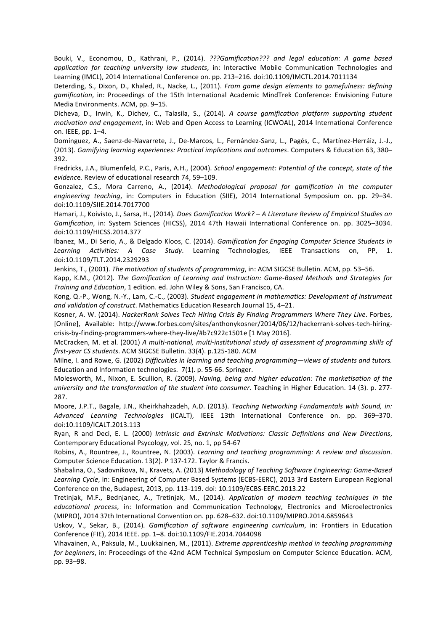Bouki, V., Economou, D., Kathrani, P., (2014). *???Gamification???* and legal education: A game based *application for teaching university law students*, in: Interactive Mobile Communication Technologies and Learning (IMCL), 2014 International Conference on. pp. 213-216. doi:10.1109/IMCTL.2014.7011134

Deterding, S., Dixon, D., Khaled, R., Nacke, L., (2011). *From game design elements to gamefulness: defining gamification*, in: Proceedings of the 15th International Academic MindTrek Conference: Envisioning Future Media Environments. ACM, pp. 9-15.

Dicheva, D., Irwin, K., Dichev, C., Talasila, S., (2014). *A course gamification platform supporting student motivation and engagement*, in: Web and Open Access to Learning (ICWOAL), 2014 International Conference on. IEEE, pp. 1–4.

Domínguez, A., Saenz-de-Navarrete, J., De-Marcos, L., Fernández-Sanz, L., Pagés, C., Martínez-Herráiz, J.-J., (2013). *Gamifying learning experiences: Practical implications and outcomes*. Computers & Education 63, 380– 392.

Fredricks, J.A., Blumenfeld, P.C., Paris, A.H., (2004). *School engagement: Potential of the concept, state of the evidenc*e. Review of educational research 74, 59–109.

Gonzalez, C.S., Mora Carreno, A., (2014). *Methodological proposal for gamification in the computer engineering teaching*, in: Computers in Education (SIIE), 2014 International Symposium on. pp. 29–34. doi:10.1109/SIIE.2014.7017700

Hamari, J., Koivisto, J., Sarsa, H., (2014). *Does Gamification Work? - A Literature Review of Empirical Studies on* Gamification, in: System Sciences (HICSS), 2014 47th Hawaii International Conference on. pp. 3025-3034. doi:10.1109/HICSS.2014.377

Ibanez, M., Di Serio, A., & Delgado Kloos, C. (2014). *Gamification for Engaging Computer Science Students in* Learning Activities: A Case Study. Learning Technologies, IEEE Transactions on, PP, 1. doi:10.1109/TLT.2014.2329293

Jenkins, T., (2001). *The motivation of students of programming*, in: ACM SIGCSE Bulletin. ACM, pp. 53–56.

Kapp, K.M., (2012). The Gamification of Learning and Instruction: Game-Based Methods and Strategies for *Training and Education*, 1 edition. ed. John Wiley & Sons, San Francisco, CA.

Kong, Q.-P., Wong, N.-Y., Lam, C.-C., (2003). *Student engagement in mathematics: Development of instrument* and validation of construct. Mathematics Education Research Journal 15, 4-21.

Kosner, A. W. (2014). *HackerRank Solves Tech Hiring Crisis By Finding Programmers Where They Live*. Forbes, [Online], Available: http://www.forbes.com/sites/anthonykosner/2014/06/12/hackerrank-solves-tech-hiringcrisis-by-finding-programmers-where-they-live/#b7c922c1501e [1 May 2016].

McCracken, M. et al. (2001) A multi-national, multi-institutional study of assessment of programming skills of *first-year CS students*. ACM SIGCSE Bulletin. 33(4). p.125-180. ACM

Milne, I. and Rowe, G. (2002) *Difficulties in learning and teaching programming—views of students and tutors.* Education and Information technologies. 7(1). p. 55-66. Springer.

Molesworth, M., Nixon, E. Scullion, R. (2009). *Having, being and higher education: The marketisation of the university and the transformation of the student into consumer*. Teaching in Higher Education. 14 (3). p. 277-287.

Moore, J.P.T., Bagale, J.N., Kheirkhahzadeh, A.D. (2013). *Teaching Networking Fundamentals with Sound, in: Advanced Learning Technologies* (ICALT), IEEE 13th International Conference on. pp. 369–370. doi:10.1109/ICALT.2013.113

Ryan, R and Deci, E. L. (2000) Intrinsic and Extrinsic Motivations: Classic Definitions and New Directions, Contemporary Educational Psycology, vol. 25, no. 1, pp 54-67

Robins, A., Rountree, J., Rountree, N. (2003). *Learning and teaching programming: A review and discussion*. Computer Science Education. 13(2). P 137-172. Taylor & Francis.

Shabalina, O., Sadovnikova, N., Kravets, A. (2013) Methodology of Teaching Software Engineering: Game-Based Learning Cycle, in: Engineering of Computer Based Systems (ECBS-EERC), 2013 3rd Eastern European Regional Conference on the, Budapest, 2013, pp. 113-119. doi: 10.1109/ECBS-EERC.2013.22

Tretinjak, M.F., Bednjanec, A., Tretinjak, M., (2014). Application of modern teaching techniques in the educational process, in: Information and Communication Technology, Electronics and Microelectronics (MIPRO), 2014 37th International Convention on. pp. 628-632. doi:10.1109/MIPRO.2014.6859643

Uskov, V., Sekar, B., (2014). Gamification of software engineering curriculum, in: Frontiers in Education Conference (FIE), 2014 IEEE. pp. 1-8. doi:10.1109/FIE.2014.7044098

Vihavainen, A., Paksula, M., Luukkainen, M., (2011). *Extreme apprenticeship method in teaching programming for beginners*, in: Proceedings of the 42nd ACM Technical Symposium on Computer Science Education. ACM, pp. 93–98.